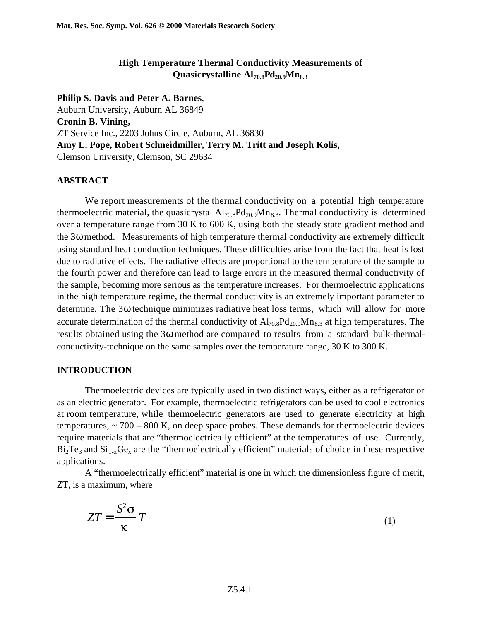# **High Temperature Thermal Conductivity Measurements of** Quasicrystalline Al<sub>70.8</sub>Pd<sub>20.9</sub>Mn<sub>8.3</sub>

## **Philip S. Davis and Peter A. Barnes**,

Auburn University, Auburn AL 36849 **Cronin B. Vining,** ZT Service Inc., 2203 Johns Circle, Auburn, AL 36830 **Amy L. Pope, Robert Schneidmiller, Terry M. Tritt and Joseph Kolis,** Clemson University, Clemson, SC 29634

### **ABSTRACT**

We report measurements of the thermal conductivity on a potential high temperature thermoelectric material, the quasicrystal  $Al_{70.8}Pd_{20.9}Mn_{8.3}$ . Thermal conductivity is determined over a temperature range from 30 K to 600 K, using both the steady state gradient method and the 3 method. Measurements of high temperature thermal conductivity are extremely difficult using standard heat conduction techniques. These difficulties arise from the fact that heat is lost due to radiative effects. The radiative effects are proportional to the temperature of the sample to the fourth power and therefore can lead to large errors in the measured thermal conductivity of the sample, becoming more serious as the temperature increases. For thermoelectric applications in the high temperature regime, the thermal conductivity is an extremely important parameter to determine. The 3 technique minimizes radiative heat loss terms, which will allow for more accurate determination of the thermal conductivity of  $Al_{70.8}Pd_{20.9}Mn_{8.3}$  at high temperatures. The results obtained using the 3 method are compared to results from a standard bulk-thermalconductivity-technique on the same samples over the temperature range, 30 K to 300 K.

### **INTRODUCTION**

Thermoelectric devices are typically used in two distinct ways, either as a refrigerator or as an electric generator. For example, thermoelectric refrigerators can be used to cool electronics at room temperature, while thermoelectric generators are used to generate electricity at high temperatures,  $\sim$  700 – 800 K, on deep space probes. These demands for thermoelectric devices require materials that are "thermoelectrically efficient" at the temperatures of use. Currently,  $Bi<sub>2</sub>Te<sub>3</sub>$  and  $Si<sub>1-x</sub>Ge<sub>x</sub>$  are the "thermoelectrically efficient" materials of choice in these respective applications.

A "thermoelectrically efficient" material is one in which the dimensionless figure of merit, ZT, is a maximum, where

$$
ZT = \frac{S^2 \sigma}{\kappa} T \tag{1}
$$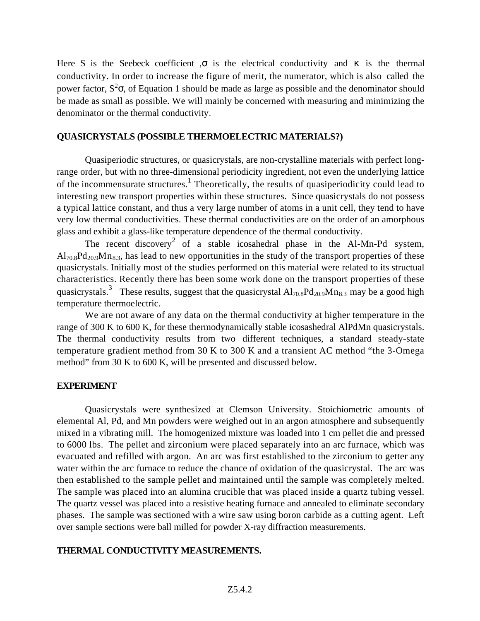Here S is the Seebeck coefficient , is the electrical conductivity and is the thermal conductivity. In order to increase the figure of merit, the numerator, which is also called the power factor,  $S^2$ , of Equation 1 should be made as large as possible and the denominator should be made as small as possible. We will mainly be concerned with measuring and minimizing the denominator or the thermal conductivity.

## **QUASICRYSTALS (POSSIBLE THERMOELECTRIC MATERIALS?)**

Quasiperiodic structures, or quasicrystals, are non-crystalline materials with perfect longrange order, but with no three-dimensional periodicity ingredient, not even the underlying lattice of the incommensurate structures.<sup>1</sup> Theoretically, the results of quasiperiodicity could lead to interesting new transport properties within these structures. Since quasicrystals do not possess a typical lattice constant, and thus a very large number of atoms in a unit cell, they tend to have very low thermal conductivities. These thermal conductivities are on the order of an amorphous glass and exhibit a glass-like temperature dependence of the thermal conductivity.

The recent discovery<sup>2</sup> of a stable icosahedral phase in the Al-Mn-Pd system,  $Al_{70.8}Pd_{20.9}Mn_{8.3}$ , has lead to new opportunities in the study of the transport properties of these quasicrystals. Initially most of the studies performed on this material were related to its structual characteristics. Recently there has been some work done on the transport properties of these quasicrystals.<sup>3</sup> These results, suggest that the quasicrystal  $Al_{70.8}Pd_{20.9}Mn_{8.3}$  may be a good high temperature thermoelectric.

We are not aware of any data on the thermal conductivity at higher temperature in the range of 300 K to 600 K, for these thermodynamically stable icosashedral AlPdMn quasicrystals. The thermal conductivity results from two different techniques, a standard steady-state temperature gradient method from 30 K to 300 K and a transient AC method "the 3-Omega method" from 30 K to 600 K, will be presented and discussed below.

### **EXPERIMENT**

Quasicrystals were synthesized at Clemson University. Stoichiometric amounts of elemental Al, Pd, and Mn powders were weighed out in an argon atmosphere and subsequently mixed in a vibrating mill. The homogenized mixture was loaded into 1 cm pellet die and pressed to 6000 lbs. The pellet and zirconium were placed separately into an arc furnace, which was evacuated and refilled with argon. An arc was first established to the zirconium to getter any water within the arc furnace to reduce the chance of oxidation of the quasicrystal. The arc was then established to the sample pellet and maintained until the sample was completely melted. The sample was placed into an alumina crucible that was placed inside a quartz tubing vessel. The quartz vessel was placed into a resistive heating furnace and annealed to eliminate secondary phases. The sample was sectioned with a wire saw using boron carbide as a cutting agent. Left over sample sections were ball milled for powder X-ray diffraction measurements.

### **THERMAL CONDUCTIVITY MEASUREMENTS.**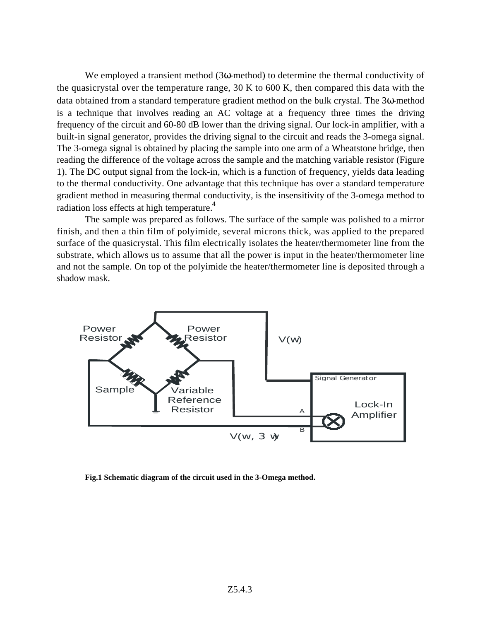We employed a transient method (3 -method) to determine the thermal conductivity of the quasicrystal over the temperature range, 30 K to 600 K, then compared this data with the data obtained from a standard temperature gradient method on the bulk crystal. The 3 -method is a technique that involves reading an AC voltage at a frequency three times the driving frequency of the circuit and 60-80 dB lower than the driving signal. Our lock-in amplifier, with a built-in signal generator, provides the driving signal to the circuit and reads the 3-omega signal. The 3-omega signal is obtained by placing the sample into one arm of a Wheatstone bridge, then reading the difference of the voltage across the sample and the matching variable resistor (Figure 1). The DC output signal from the lock-in, which is a function of frequency, yields data leading to the thermal conductivity. One advantage that this technique has over a standard temperature gradient method in measuring thermal conductivity, is the insensitivity of the 3-omega method to radiation loss effects at high temperature.<sup>4</sup>

The sample was prepared as follows. The surface of the sample was polished to a mirror finish, and then a thin film of polyimide, several microns thick, was applied to the prepared surface of the quasicrystal. This film electrically isolates the heater/thermometer line from the substrate, which allows us to assume that all the power is input in the heater/thermometer line and not the sample. On top of the polyimide the heater/thermometer line is deposited through a shadow mask.



**Fig.1 Schematic diagram of the circuit used in the 3-Omega method.**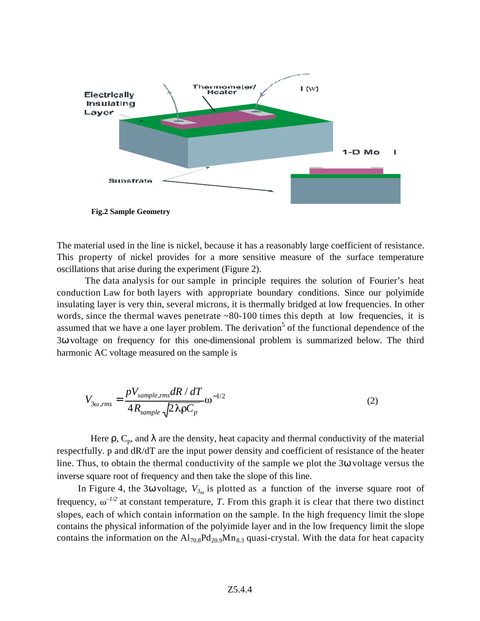

**Fig.2 Sample Geometry**

The material used in the line is nickel, because it has a reasonably large coefficient of resistance. This property of nickel provides for a more sensitive measure of the surface temperature oscillations that arise during the experiment (Figure 2).

The data analysis for our sample in principle requires the solution of Fourier's heat conduction Law for both layers with appropriate boundary conditions. Since our polyimide insulating layer is very thin, several microns, it is thermally bridged at low frequencies. In other words, since the thermal waves penetrate  $\sim 80-100$  times this depth at low frequencies, it is assumed that we have a one layer problem. The derivation<sup>5</sup> of the functional dependence of the 3 voltage on frequency for this one-dimensional problem is summarized below. The third harmonic AC voltage measured on the sample is

$$
V_{3\omega,rms} = \frac{pV_{sample,rms}dR/dT}{4R_{sample}\sqrt{2\lambda\rho C_p}}\omega^{-1/2}
$$
 (2)

Here  $C_p$ , and are the density, heat capacity and thermal conductivity of the material respectfully. p and dR/dT are the input power density and coefficient of resistance of the heater line. Thus, to obtain the thermal conductivity of the sample we plot the 3 voltage versus the inverse square root of frequency and then take the slope of this line.

In Figure 4, the 3 voltage,  $V_{\lambda_0}$  is plotted as a function of the inverse square root of frequency,  $\omega^{-1/2}$  at constant temperature, *T*. From this graph it is clear that there two distinct slopes, each of which contain information on the sample. In the high frequency limit the slope contains the physical information of the polyimide layer and in the low frequency limit the slope contains the information on the  $Al_{70.8}Pd_{20.9}Mn_{8.3}$  quasi-crystal. With the data for heat capacity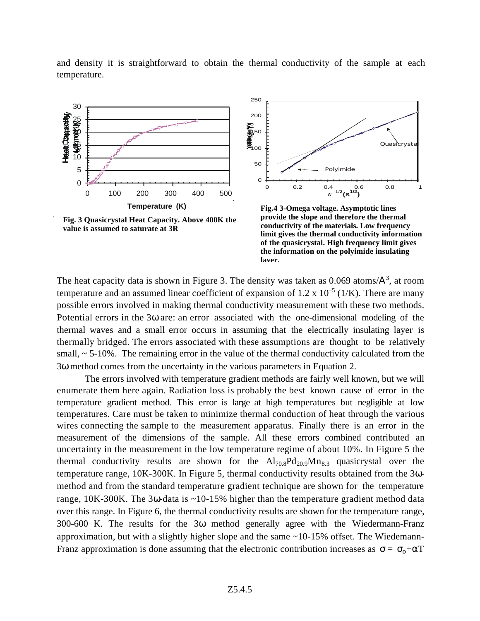

and density it is straightforward to obtain the thermal conductivity of the sample at each temperature.

**value is assumed to saturate at 3R Fig. 3 Quasicrystal Heat Capacity. Above 400K the**



**Fig.4 3-Omega voltage. Asymptotic lines Temperature (K) provide the slope and therefore the thermal conductivity of the materials. Low frequency limit gives the thermal conductivity information of the quasicrystal. High frequency limit gives the information on the polyimide insulating layer.**

The heat capacity data is shown in Figure 3. The density was taken as 0.069 atoms/ $3$ , at room temperature and an assumed linear coefficient of expansion of 1.2 x  $10^{-5}$  (1/K). There are many possible errors involved in making thermal conductivity measurement with these two methods. Potential errors in the 3 are: an error associated with the one-dimensional modeling of the thermal waves and a small error occurs in assuming that the electrically insulating layer is thermally bridged. The errors associated with these assumptions are thought to be relatively small,  $\sim$  5-10%. The remaining error in the value of the thermal conductivity calculated from the 3 method comes from the uncertainty in the various parameters in Equation 2.

The errors involved with temperature gradient methods are fairly well known, but we will enumerate them here again. Radiation loss is probably the best known cause of error in the temperature gradient method. This error is large at high temperatures but negligible at low temperatures. Care must be taken to minimize thermal conduction of heat through the various wires connecting the sample to the measurement apparatus. Finally there is an error in the measurement of the dimensions of the sample. All these errors combined contributed an uncertainty in the measurement in the low temperature regime of about 10%. In Figure 5 the thermal conductivity results are shown for the  $Al_{70.8}Pd_{20.9}Mn_{8.3}$  quasicrystal over the temperature range, 10K-300K. In Figure 5, thermal conductivity results obtained from the 3 method and from the standard temperature gradient technique are shown for the temperature range,  $10K-300K$ . The 3 -data is  $\sim 10-15\%$  higher than the temperature gradient method data over this range. In Figure 6, the thermal conductivity results are shown for the temperature range, 300-600 K. The results for the 3 method generally agree with the Wiedermann-Franz approximation, but with a slightly higher slope and the same ~10-15% offset. The Wiedemann-Franz approximation is done assuming that the electronic contribution increases as  $=$   $_{0}+$  T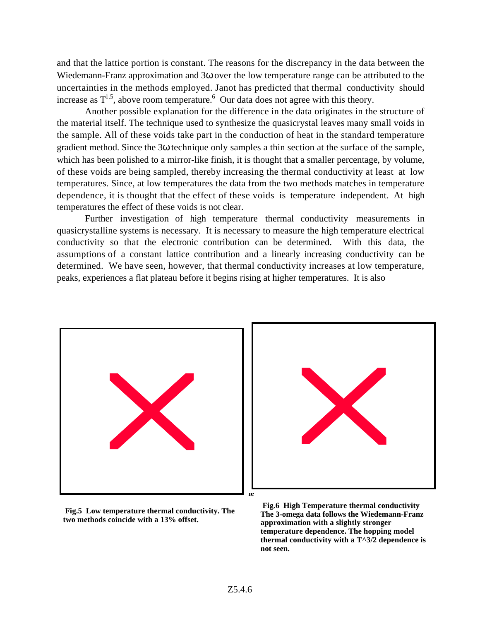and that the lattice portion is constant. The reasons for the discrepancy in the data between the Wiedemann-Franz approximation and 3 over the low temperature range can be attributed to the uncertainties in the methods employed. Janot has predicted that thermal conductivity should increase as  $T^{1.5}$ , above room temperature.<sup>6</sup> Our data does not agree with this theory.

Another possible explanation for the difference in the data originates in the structure of the material itself. The technique used to synthesize the quasicrystal leaves many small voids in the sample. All of these voids take part in the conduction of heat in the standard temperature gradient method. Since the 3 technique only samples a thin section at the surface of the sample, which has been polished to a mirror-like finish, it is thought that a smaller percentage, by volume, of these voids are being sampled, thereby increasing the thermal conductivity at least at low temperatures. Since, at low temperatures the data from the two methods matches in temperature dependence, it is thought that the effect of these voids is temperature independent. At high temperatures the effect of these voids is not clear.

Further investigation of high temperature thermal conductivity measurements in quasicrystalline systems is necessary. It is necessary to measure the high temperature electrical conductivity so that the electronic contribution can be determined. With this data, the assumptions of a constant lattice contribution and a linearly increasing conductivity can be determined. We have seen, however, that thermal conductivity increases at low temperature, peaks, experiences a flat plateau before it begins rising at higher temperatures. It is also



 **Fig.5 Low temperature thermal conductivity. The two methods coincide with a 13% offset.**



Fig.6 High Temperature thermal conductivity **Franz approximation with a slightly stronger The 3-omega data follows the Wiedemann-Franz temperature dependence. The hopping model approximation with a slightly stronger thermal conductivity with a Shipping stronger is not seen. thermal conductivity with a T^3/2 dependence is not seen.**